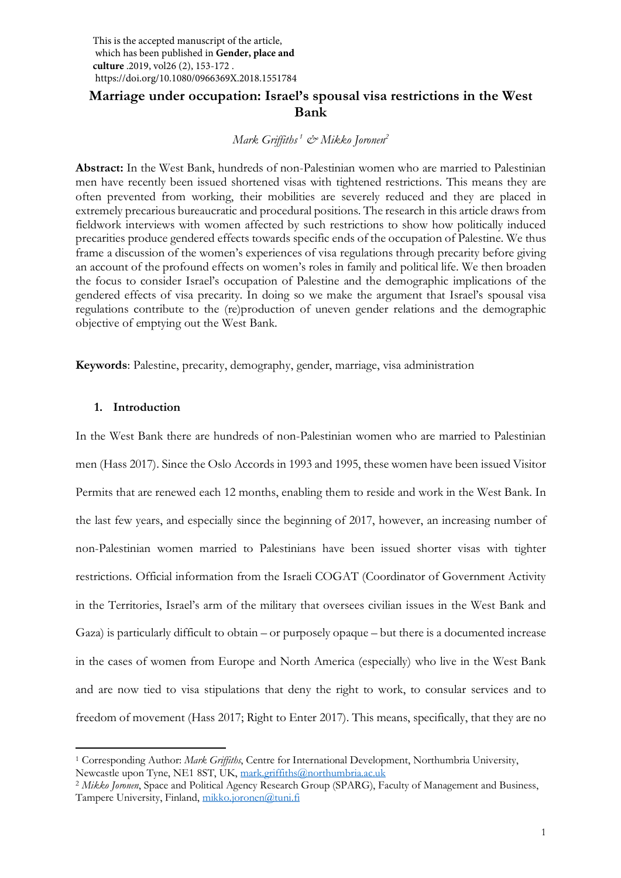This is the accepted manuscript of the article, which has been published in **Gender, place and culture** .2019, vol26 (2), 153-172 . https://doi.org/10.1080/0966369X.2018.1551784

# **Marriage under occupation: Israel's spousal visa restrictions in the West Bank**

### *Mark Griffiths <sup>1</sup> & Mikko Joronen2*

**Abstract:** In the West Bank, hundreds of non-Palestinian women who are married to Palestinian men have recently been issued shortened visas with tightened restrictions. This means they are often prevented from working, their mobilities are severely reduced and they are placed in extremely precarious bureaucratic and procedural positions. The research in this article draws from fieldwork interviews with women affected by such restrictions to show how politically induced precarities produce gendered effects towards specific ends of the occupation of Palestine. We thus frame a discussion of the women's experiences of visa regulations through precarity before giving an account of the profound effects on women's roles in family and political life. We then broaden the focus to consider Israel's occupation of Palestine and the demographic implications of the gendered effects of visa precarity. In doing so we make the argument that Israel's spousal visa regulations contribute to the (re)production of uneven gender relations and the demographic objective of emptying out the West Bank.

**Keywords**: Palestine, precarity, demography, gender, marriage, visa administration

### **1. Introduction**

In the West Bank there are hundreds of non-Palestinian women who are married to Palestinian men (Hass 2017). Since the Oslo Accords in 1993 and 1995, these women have been issued Visitor Permits that are renewed each 12 months, enabling them to reside and work in the West Bank. In the last few years, and especially since the beginning of 2017, however, an increasing number of non-Palestinian women married to Palestinians have been issued shorter visas with tighter restrictions. Official information from the Israeli COGAT (Coordinator of Government Activity in the Territories, Israel's arm of the military that oversees civilian issues in the West Bank and Gaza) is particularly difficult to obtain – or purposely opaque – but there is a documented increase in the cases of women from Europe and North America (especially) who live in the West Bank and are now tied to visa stipulations that deny the right to work, to consular services and to freedom of movement (Hass 2017; Right to Enter 2017). This means, specifically, that they are no

<sup>1</sup> Corresponding Author: *Mark Griffiths*, Centre for International Development, Northumbria University, Newcastle upon Tyne, NE1 8ST, UK, mark.griffiths@northumbria.ac.uk 2 *Mikko Joronen*, Space and Political Agency Research Group (SPARG), Faculty of Management and Business,

Tampere University, Finland, mikko.joronen@tuni.fi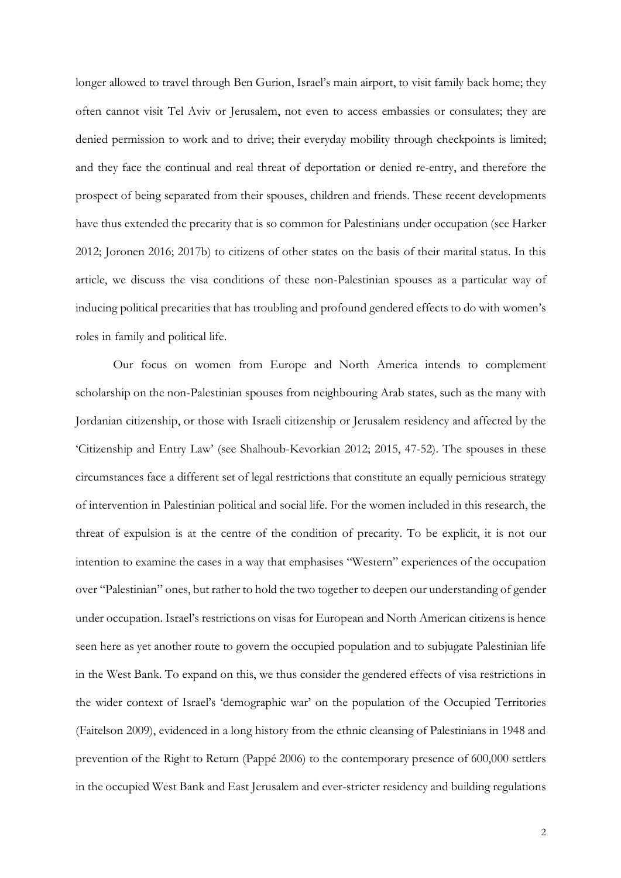longer allowed to travel through Ben Gurion, Israel's main airport, to visit family back home; they often cannot visit Tel Aviv or Jerusalem, not even to access embassies or consulates; they are denied permission to work and to drive; their everyday mobility through checkpoints is limited; and they face the continual and real threat of deportation or denied re-entry, and therefore the prospect of being separated from their spouses, children and friends. These recent developments have thus extended the precarity that is so common for Palestinians under occupation (see Harker 2012; Joronen 2016; 2017b) to citizens of other states on the basis of their marital status. In this article, we discuss the visa conditions of these non-Palestinian spouses as a particular way of inducing political precarities that has troubling and profound gendered effects to do with women's roles in family and political life.

Our focus on women from Europe and North America intends to complement scholarship on the non-Palestinian spouses from neighbouring Arab states, such as the many with Jordanian citizenship, or those with Israeli citizenship or Jerusalem residency and affected by the 'Citizenship and Entry Law' (see Shalhoub-Kevorkian 2012; 2015, 47-52). The spouses in these circumstances face a different set of legal restrictions that constitute an equally pernicious strategy of intervention in Palestinian political and social life. For the women included in this research, the threat of expulsion is at the centre of the condition of precarity. To be explicit, it is not our intention to examine the cases in a way that emphasises "Western" experiences of the occupation over "Palestinian" ones, but rather to hold the two together to deepen our understanding of gender under occupation. Israel's restrictions on visas for European and North American citizens is hence seen here as yet another route to govern the occupied population and to subjugate Palestinian life in the West Bank. To expand on this, we thus consider the gendered effects of visa restrictions in the wider context of Israel's 'demographic war' on the population of the Occupied Territories (Faitelson 2009), evidenced in a long history from the ethnic cleansing of Palestinians in 1948 and prevention of the Right to Return (Pappé 2006) to the contemporary presence of 600,000 settlers in the occupied West Bank and East Jerusalem and ever-stricter residency and building regulations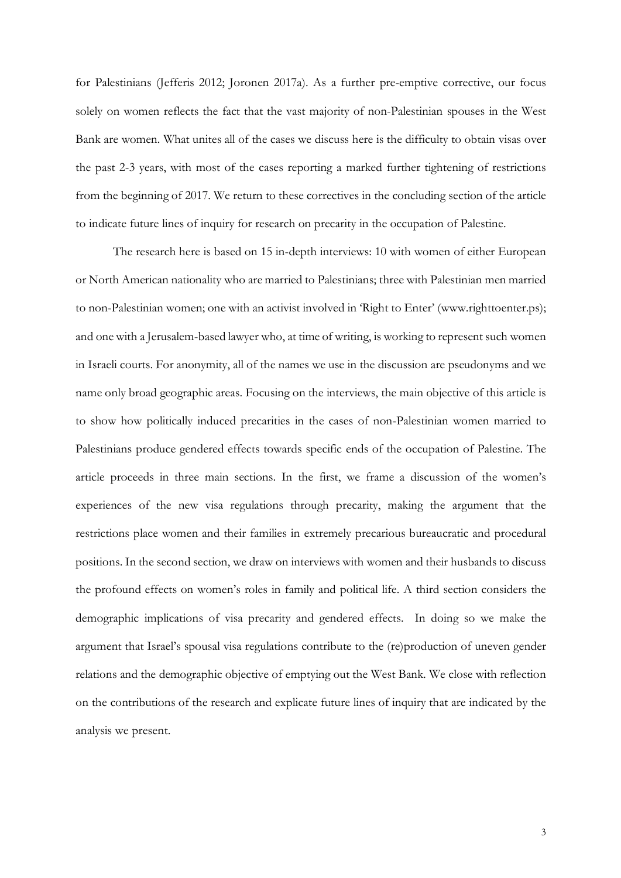for Palestinians (Jefferis 2012; Joronen 2017a). As a further pre-emptive corrective, our focus solely on women reflects the fact that the vast majority of non-Palestinian spouses in the West Bank are women. What unites all of the cases we discuss here is the difficulty to obtain visas over the past 2-3 years, with most of the cases reporting a marked further tightening of restrictions from the beginning of 2017. We return to these correctives in the concluding section of the article to indicate future lines of inquiry for research on precarity in the occupation of Palestine.

The research here is based on 15 in-depth interviews: 10 with women of either European or North American nationality who are married to Palestinians; three with Palestinian men married to non-Palestinian women; one with an activist involved in 'Right to Enter' (www.righttoenter.ps); and one with a Jerusalem-based lawyer who, at time of writing, is working to represent such women in Israeli courts. For anonymity, all of the names we use in the discussion are pseudonyms and we name only broad geographic areas. Focusing on the interviews, the main objective of this article is to show how politically induced precarities in the cases of non-Palestinian women married to Palestinians produce gendered effects towards specific ends of the occupation of Palestine. The article proceeds in three main sections. In the first, we frame a discussion of the women's experiences of the new visa regulations through precarity, making the argument that the restrictions place women and their families in extremely precarious bureaucratic and procedural positions. In the second section, we draw on interviews with women and their husbands to discuss the profound effects on women's roles in family and political life. A third section considers the demographic implications of visa precarity and gendered effects. In doing so we make the argument that Israel's spousal visa regulations contribute to the (re)production of uneven gender relations and the demographic objective of emptying out the West Bank. We close with reflection on the contributions of the research and explicate future lines of inquiry that are indicated by the analysis we present.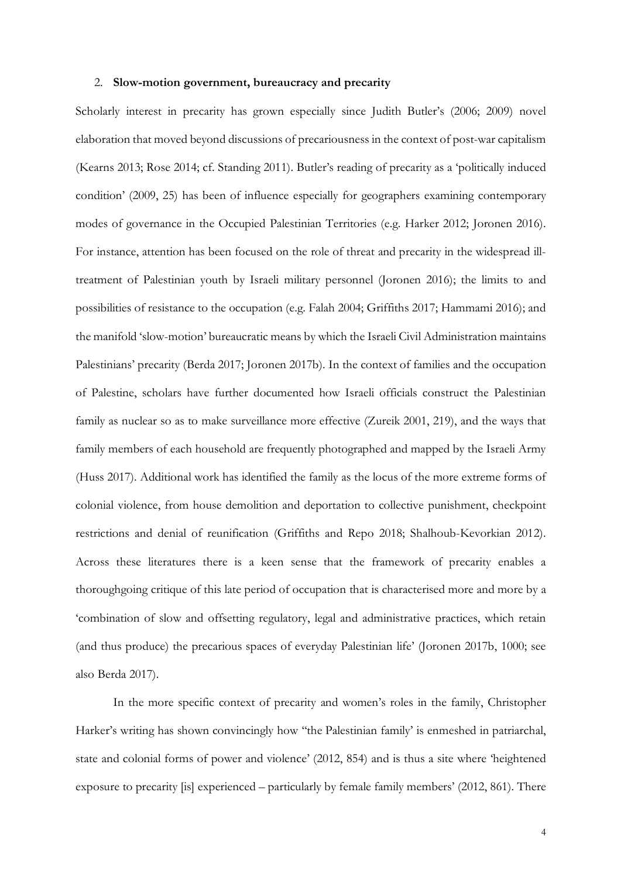#### 2. **Slow-motion government, bureaucracy and precarity**

Scholarly interest in precarity has grown especially since Judith Butler's (2006; 2009) novel elaboration that moved beyond discussions of precariousness in the context of post-war capitalism (Kearns 2013; Rose 2014; cf. Standing 2011). Butler's reading of precarity as a 'politically induced condition' (2009, 25) has been of influence especially for geographers examining contemporary modes of governance in the Occupied Palestinian Territories (e.g. Harker 2012; Joronen 2016). For instance, attention has been focused on the role of threat and precarity in the widespread illtreatment of Palestinian youth by Israeli military personnel (Joronen 2016); the limits to and possibilities of resistance to the occupation (e.g. Falah 2004; Griffiths 2017; Hammami 2016); and the manifold 'slow-motion' bureaucratic means by which the Israeli Civil Administration maintains Palestinians' precarity (Berda 2017; Joronen 2017b). In the context of families and the occupation of Palestine, scholars have further documented how Israeli officials construct the Palestinian family as nuclear so as to make surveillance more effective (Zureik 2001, 219), and the ways that family members of each household are frequently photographed and mapped by the Israeli Army (Huss 2017). Additional work has identified the family as the locus of the more extreme forms of colonial violence, from house demolition and deportation to collective punishment, checkpoint restrictions and denial of reunification (Griffiths and Repo 2018; Shalhoub-Kevorkian 2012). Across these literatures there is a keen sense that the framework of precarity enables a thoroughgoing critique of this late period of occupation that is characterised more and more by a 'combination of slow and offsetting regulatory, legal and administrative practices, which retain (and thus produce) the precarious spaces of everyday Palestinian life' (Joronen 2017b, 1000; see also Berda 2017).

In the more specific context of precarity and women's roles in the family, Christopher Harker's writing has shown convincingly how "the Palestinian family' is enmeshed in patriarchal, state and colonial forms of power and violence' (2012, 854) and is thus a site where 'heightened exposure to precarity [is] experienced – particularly by female family members' (2012, 861). There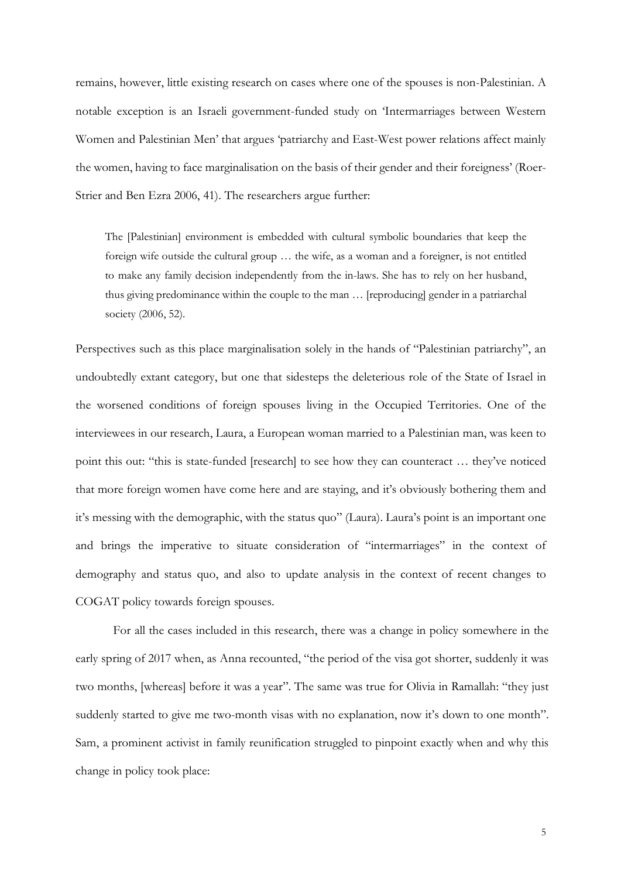remains, however, little existing research on cases where one of the spouses is non-Palestinian. A notable exception is an Israeli government-funded study on 'Intermarriages between Western Women and Palestinian Men' that argues 'patriarchy and East-West power relations affect mainly the women, having to face marginalisation on the basis of their gender and their foreigness' (Roer-Strier and Ben Ezra 2006, 41). The researchers argue further:

The [Palestinian] environment is embedded with cultural symbolic boundaries that keep the foreign wife outside the cultural group … the wife, as a woman and a foreigner, is not entitled to make any family decision independently from the in-laws. She has to rely on her husband, thus giving predominance within the couple to the man … [reproducing] gender in a patriarchal society (2006, 52).

Perspectives such as this place marginalisation solely in the hands of "Palestinian patriarchy", an undoubtedly extant category, but one that sidesteps the deleterious role of the State of Israel in the worsened conditions of foreign spouses living in the Occupied Territories. One of the interviewees in our research, Laura, a European woman married to a Palestinian man, was keen to point this out: "this is state-funded [research] to see how they can counteract … they've noticed that more foreign women have come here and are staying, and it's obviously bothering them and it's messing with the demographic, with the status quo" (Laura). Laura's point is an important one and brings the imperative to situate consideration of "intermarriages" in the context of demography and status quo, and also to update analysis in the context of recent changes to COGAT policy towards foreign spouses.

For all the cases included in this research, there was a change in policy somewhere in the early spring of 2017 when, as Anna recounted, "the period of the visa got shorter, suddenly it was two months, [whereas] before it was a year". The same was true for Olivia in Ramallah: "they just suddenly started to give me two-month visas with no explanation, now it's down to one month". Sam, a prominent activist in family reunification struggled to pinpoint exactly when and why this change in policy took place: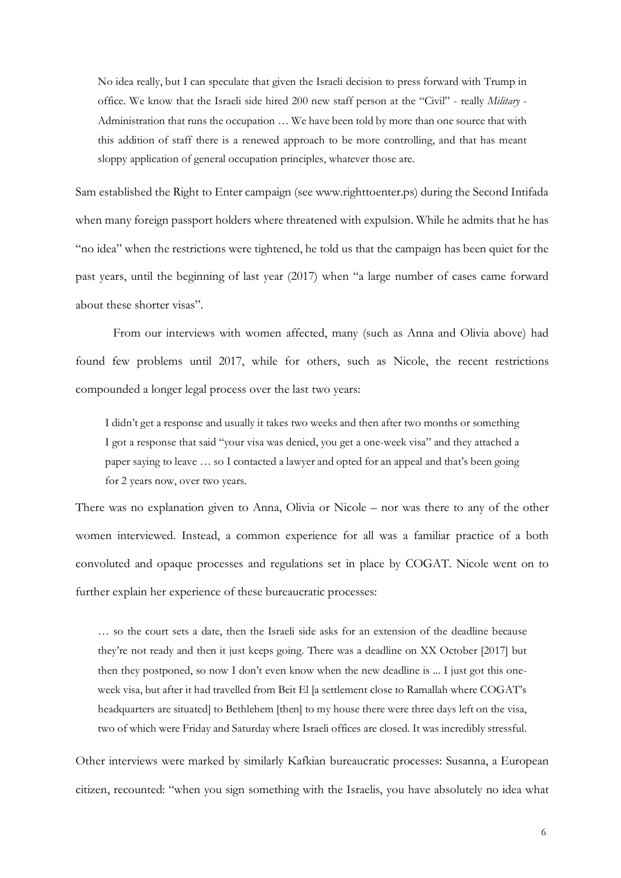No idea really, but I can speculate that given the Israeli decision to press forward with Trump in office. We know that the Israeli side hired 200 new staff person at the "Civil" - really *Military* - Administration that runs the occupation … We have been told by more than one source that with this addition of staff there is a renewed approach to be more controlling, and that has meant sloppy application of general occupation principles, whatever those are.

Sam established the Right to Enter campaign (see www.righttoenter.ps) during the Second Intifada when many foreign passport holders where threatened with expulsion. While he admits that he has "no idea" when the restrictions were tightened, he told us that the campaign has been quiet for the past years, until the beginning of last year (2017) when "a large number of cases came forward about these shorter visas".

From our interviews with women affected, many (such as Anna and Olivia above) had found few problems until 2017, while for others, such as Nicole, the recent restrictions compounded a longer legal process over the last two years:

I didn't get a response and usually it takes two weeks and then after two months or something I got a response that said "your visa was denied, you get a one-week visa" and they attached a paper saying to leave … so I contacted a lawyer and opted for an appeal and that's been going for 2 years now, over two years.

There was no explanation given to Anna, Olivia or Nicole – nor was there to any of the other women interviewed. Instead, a common experience for all was a familiar practice of a both convoluted and opaque processes and regulations set in place by COGAT. Nicole went on to further explain her experience of these bureaucratic processes:

… so the court sets a date, then the Israeli side asks for an extension of the deadline because they're not ready and then it just keeps going. There was a deadline on XX October [2017] but then they postponed, so now I don't even know when the new deadline is ... I just got this oneweek visa, but after it had travelled from Beit El [a settlement close to Ramallah where COGAT's headquarters are situated] to Bethlehem [then] to my house there were three days left on the visa, two of which were Friday and Saturday where Israeli offices are closed. It was incredibly stressful.

Other interviews were marked by similarly Kafkian bureaucratic processes: Susanna, a European citizen, recounted: "when you sign something with the Israelis, you have absolutely no idea what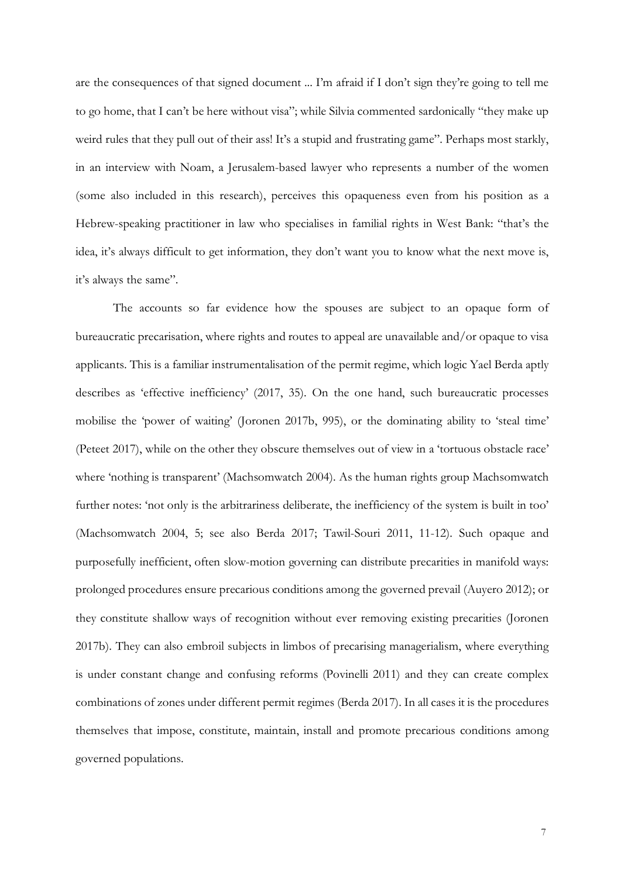are the consequences of that signed document ... I'm afraid if I don't sign they're going to tell me to go home, that I can't be here without visa"; while Silvia commented sardonically "they make up weird rules that they pull out of their ass! It's a stupid and frustrating game". Perhaps most starkly, in an interview with Noam, a Jerusalem-based lawyer who represents a number of the women (some also included in this research), perceives this opaqueness even from his position as a Hebrew-speaking practitioner in law who specialises in familial rights in West Bank: "that's the idea, it's always difficult to get information, they don't want you to know what the next move is, it's always the same".

The accounts so far evidence how the spouses are subject to an opaque form of bureaucratic precarisation, where rights and routes to appeal are unavailable and/or opaque to visa applicants. This is a familiar instrumentalisation of the permit regime, which logic Yael Berda aptly describes as 'effective inefficiency' (2017, 35). On the one hand, such bureaucratic processes mobilise the 'power of waiting' (Joronen 2017b, 995), or the dominating ability to 'steal time' (Peteet 2017), while on the other they obscure themselves out of view in a 'tortuous obstacle race' where 'nothing is transparent' (Machsomwatch 2004). As the human rights group Machsomwatch further notes: 'not only is the arbitrariness deliberate, the inefficiency of the system is built in too' (Machsomwatch 2004, 5; see also Berda 2017; Tawil-Souri 2011, 11-12). Such opaque and purposefully inefficient, often slow-motion governing can distribute precarities in manifold ways: prolonged procedures ensure precarious conditions among the governed prevail (Auyero 2012); or they constitute shallow ways of recognition without ever removing existing precarities (Joronen 2017b). They can also embroil subjects in limbos of precarising managerialism, where everything is under constant change and confusing reforms (Povinelli 2011) and they can create complex combinations of zones under different permit regimes (Berda 2017). In all cases it is the procedures themselves that impose, constitute, maintain, install and promote precarious conditions among governed populations.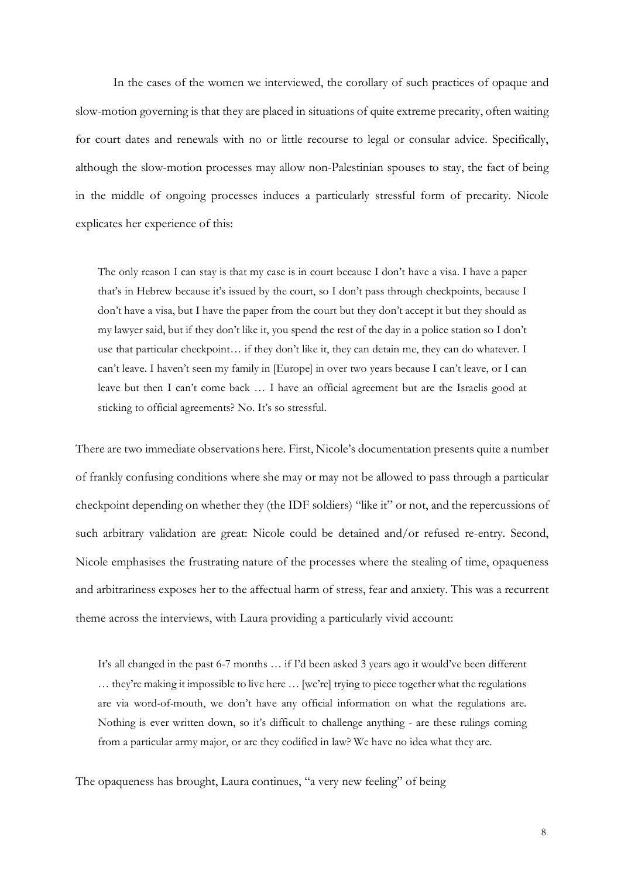In the cases of the women we interviewed, the corollary of such practices of opaque and slow-motion governing is that they are placed in situations of quite extreme precarity, often waiting for court dates and renewals with no or little recourse to legal or consular advice. Specifically, although the slow-motion processes may allow non-Palestinian spouses to stay, the fact of being in the middle of ongoing processes induces a particularly stressful form of precarity. Nicole explicates her experience of this:

The only reason I can stay is that my case is in court because I don't have a visa. I have a paper that's in Hebrew because it's issued by the court, so I don't pass through checkpoints, because I don't have a visa, but I have the paper from the court but they don't accept it but they should as my lawyer said, but if they don't like it, you spend the rest of the day in a police station so I don't use that particular checkpoint… if they don't like it, they can detain me, they can do whatever. I can't leave. I haven't seen my family in [Europe] in over two years because I can't leave, or I can leave but then I can't come back … I have an official agreement but are the Israelis good at sticking to official agreements? No. It's so stressful.

There are two immediate observations here. First, Nicole's documentation presents quite a number of frankly confusing conditions where she may or may not be allowed to pass through a particular checkpoint depending on whether they (the IDF soldiers) "like it" or not, and the repercussions of such arbitrary validation are great: Nicole could be detained and/or refused re-entry. Second, Nicole emphasises the frustrating nature of the processes where the stealing of time, opaqueness and arbitrariness exposes her to the affectual harm of stress, fear and anxiety. This was a recurrent theme across the interviews, with Laura providing a particularly vivid account:

It's all changed in the past 6-7 months … if I'd been asked 3 years ago it would've been different … they're making it impossible to live here … [we're] trying to piece together what the regulations are via word-of-mouth, we don't have any official information on what the regulations are. Nothing is ever written down, so it's difficult to challenge anything - are these rulings coming from a particular army major, or are they codified in law? We have no idea what they are.

The opaqueness has brought, Laura continues, "a very new feeling" of being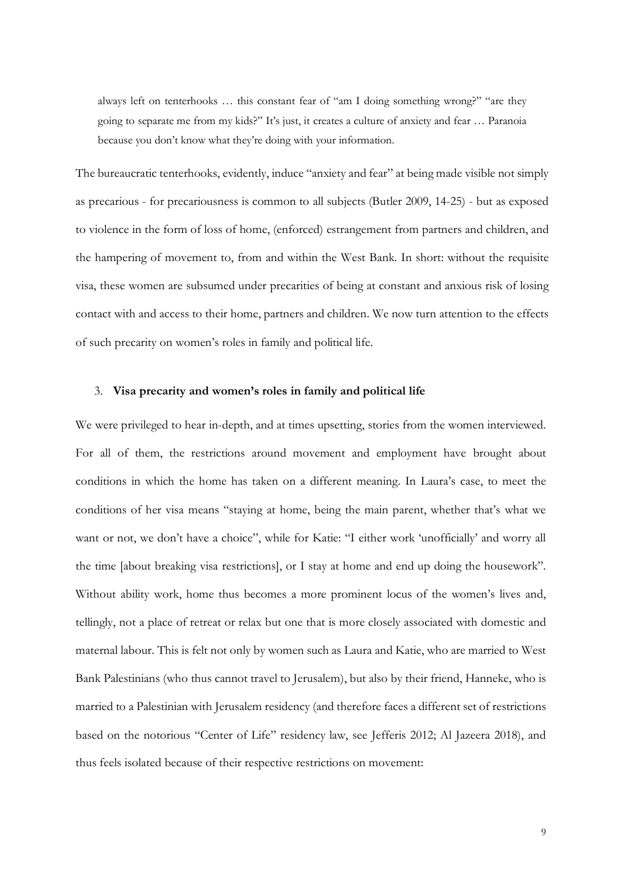always left on tenterhooks … this constant fear of "am I doing something wrong?" "are they going to separate me from my kids?" It's just, it creates a culture of anxiety and fear … Paranoia because you don't know what they're doing with your information.

The bureaucratic tenterhooks, evidently, induce "anxiety and fear" at being made visible not simply as precarious - for precariousness is common to all subjects (Butler 2009, 14-25) - but as exposed to violence in the form of loss of home, (enforced) estrangement from partners and children, and the hampering of movement to, from and within the West Bank. In short: without the requisite visa, these women are subsumed under precarities of being at constant and anxious risk of losing contact with and access to their home, partners and children. We now turn attention to the effects of such precarity on women's roles in family and political life.

#### 3. **Visa precarity and women's roles in family and political life**

We were privileged to hear in-depth, and at times upsetting, stories from the women interviewed. For all of them, the restrictions around movement and employment have brought about conditions in which the home has taken on a different meaning. In Laura's case, to meet the conditions of her visa means "staying at home, being the main parent, whether that's what we want or not, we don't have a choice", while for Katie: "I either work 'unofficially' and worry all the time [about breaking visa restrictions], or I stay at home and end up doing the housework". Without ability work, home thus becomes a more prominent locus of the women's lives and, tellingly, not a place of retreat or relax but one that is more closely associated with domestic and maternal labour. This is felt not only by women such as Laura and Katie, who are married to West Bank Palestinians (who thus cannot travel to Jerusalem), but also by their friend, Hanneke, who is married to a Palestinian with Jerusalem residency (and therefore faces a different set of restrictions based on the notorious "Center of Life" residency law, see Jefferis 2012; Al Jazeera 2018), and thus feels isolated because of their respective restrictions on movement: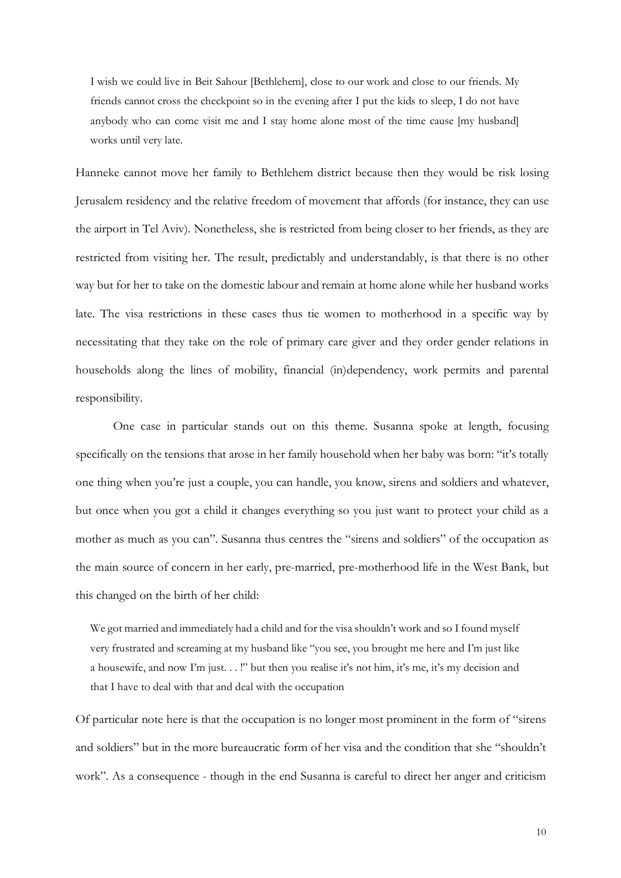I wish we could live in Beit Sahour [Bethlehem], close to our work and close to our friends. My friends cannot cross the checkpoint so in the evening after I put the kids to sleep, I do not have anybody who can come visit me and I stay home alone most of the time cause [my husband] works until very late.

Hanneke cannot move her family to Bethlehem district because then they would be risk losing Jerusalem residency and the relative freedom of movement that affords (for instance, they can use the airport in Tel Aviv). Nonetheless, she is restricted from being closer to her friends, as they are restricted from visiting her. The result, predictably and understandably, is that there is no other way but for her to take on the domestic labour and remain at home alone while her husband works late. The visa restrictions in these cases thus tie women to motherhood in a specific way by necessitating that they take on the role of primary care giver and they order gender relations in households along the lines of mobility, financial (in)dependency, work permits and parental responsibility.

One case in particular stands out on this theme. Susanna spoke at length, focusing specifically on the tensions that arose in her family household when her baby was born: "it's totally one thing when you're just a couple, you can handle, you know, sirens and soldiers and whatever, but once when you got a child it changes everything so you just want to protect your child as a mother as much as you can". Susanna thus centres the "sirens and soldiers" of the occupation as the main source of concern in her early, pre-married, pre-motherhood life in the West Bank, but this changed on the birth of her child:

We got married and immediately had a child and for the visa shouldn't work and so I found myself very frustrated and screaming at my husband like "you see, you brought me here and I'm just like a housewife, and now I'm just. . . !" but then you realise it's not him, it's me, it's my decision and that I have to deal with that and deal with the occupation

Of particular note here is that the occupation is no longer most prominent in the form of "sirens and soldiers" but in the more bureaucratic form of her visa and the condition that she "shouldn't work". As a consequence - though in the end Susanna is careful to direct her anger and criticism

10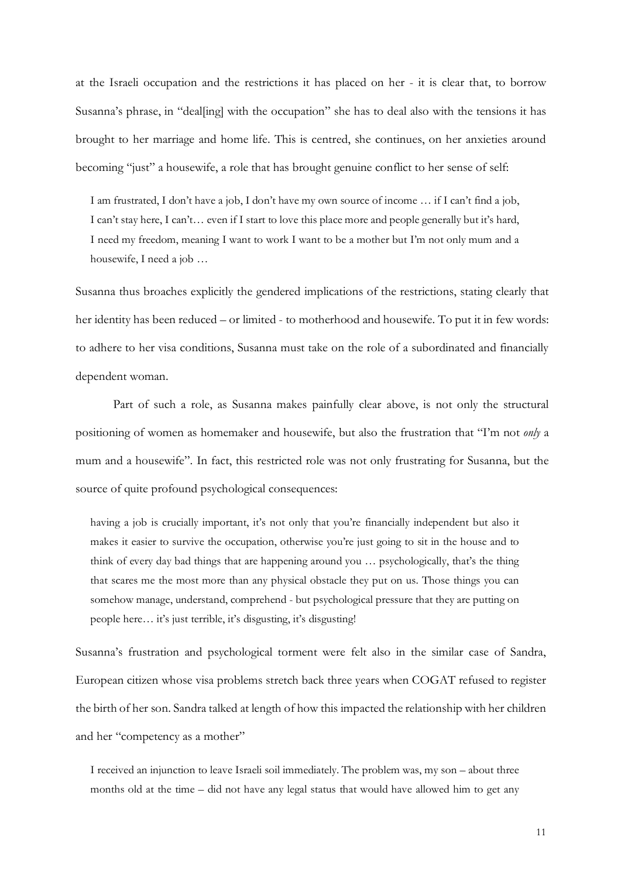at the Israeli occupation and the restrictions it has placed on her - it is clear that, to borrow Susanna's phrase, in "deal[ing] with the occupation" she has to deal also with the tensions it has brought to her marriage and home life. This is centred, she continues, on her anxieties around becoming "just" a housewife, a role that has brought genuine conflict to her sense of self:

I am frustrated, I don't have a job, I don't have my own source of income … if I can't find a job, I can't stay here, I can't… even if I start to love this place more and people generally but it's hard, I need my freedom, meaning I want to work I want to be a mother but I'm not only mum and a housewife, I need a job …

Susanna thus broaches explicitly the gendered implications of the restrictions, stating clearly that her identity has been reduced – or limited - to motherhood and housewife. To put it in few words: to adhere to her visa conditions, Susanna must take on the role of a subordinated and financially dependent woman.

Part of such a role, as Susanna makes painfully clear above, is not only the structural positioning of women as homemaker and housewife, but also the frustration that "I'm not *only* a mum and a housewife". In fact, this restricted role was not only frustrating for Susanna, but the source of quite profound psychological consequences:

having a job is crucially important, it's not only that you're financially independent but also it makes it easier to survive the occupation, otherwise you're just going to sit in the house and to think of every day bad things that are happening around you … psychologically, that's the thing that scares me the most more than any physical obstacle they put on us. Those things you can somehow manage, understand, comprehend - but psychological pressure that they are putting on people here… it's just terrible, it's disgusting, it's disgusting!

Susanna's frustration and psychological torment were felt also in the similar case of Sandra, European citizen whose visa problems stretch back three years when COGAT refused to register the birth of her son. Sandra talked at length of how this impacted the relationship with her children and her "competency as a mother"

I received an injunction to leave Israeli soil immediately. The problem was, my son – about three months old at the time – did not have any legal status that would have allowed him to get any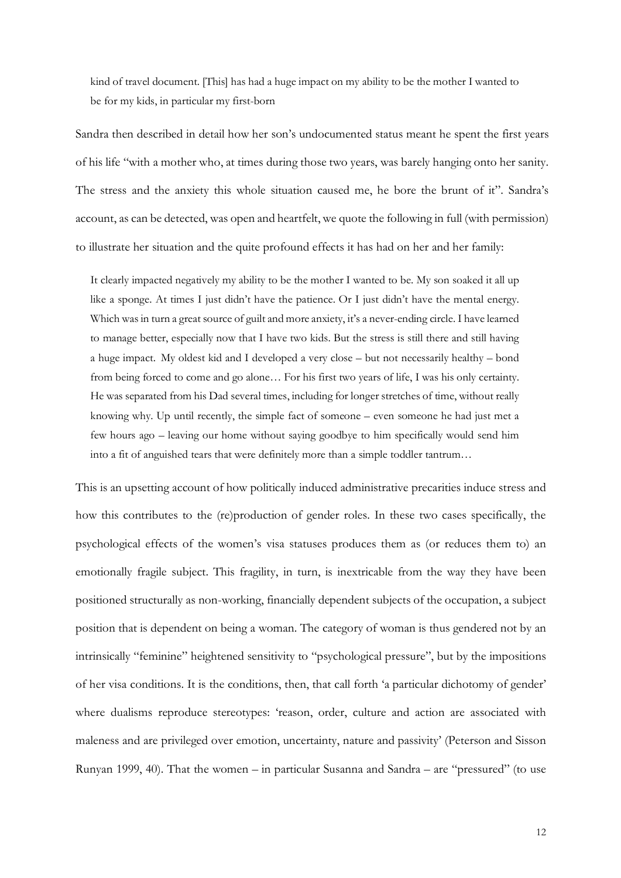kind of travel document. [This] has had a huge impact on my ability to be the mother I wanted to be for my kids, in particular my first-born

Sandra then described in detail how her son's undocumented status meant he spent the first years of his life "with a mother who, at times during those two years, was barely hanging onto her sanity. The stress and the anxiety this whole situation caused me, he bore the brunt of it". Sandra's account, as can be detected, was open and heartfelt, we quote the following in full (with permission) to illustrate her situation and the quite profound effects it has had on her and her family:

It clearly impacted negatively my ability to be the mother I wanted to be. My son soaked it all up like a sponge. At times I just didn't have the patience. Or I just didn't have the mental energy. Which was in turn a great source of guilt and more anxiety, it's a never-ending circle. I have learned to manage better, especially now that I have two kids. But the stress is still there and still having a huge impact. My oldest kid and I developed a very close – but not necessarily healthy – bond from being forced to come and go alone… For his first two years of life, I was his only certainty. He was separated from his Dad several times, including for longer stretches of time, without really knowing why. Up until recently, the simple fact of someone – even someone he had just met a few hours ago – leaving our home without saying goodbye to him specifically would send him into a fit of anguished tears that were definitely more than a simple toddler tantrum…

This is an upsetting account of how politically induced administrative precarities induce stress and how this contributes to the (re)production of gender roles. In these two cases specifically, the psychological effects of the women's visa statuses produces them as (or reduces them to) an emotionally fragile subject. This fragility, in turn, is inextricable from the way they have been positioned structurally as non-working, financially dependent subjects of the occupation, a subject position that is dependent on being a woman. The category of woman is thus gendered not by an intrinsically "feminine" heightened sensitivity to "psychological pressure", but by the impositions of her visa conditions. It is the conditions, then, that call forth 'a particular dichotomy of gender' where dualisms reproduce stereotypes: 'reason, order, culture and action are associated with maleness and are privileged over emotion, uncertainty, nature and passivity' (Peterson and Sisson Runyan 1999, 40). That the women – in particular Susanna and Sandra – are "pressured" (to use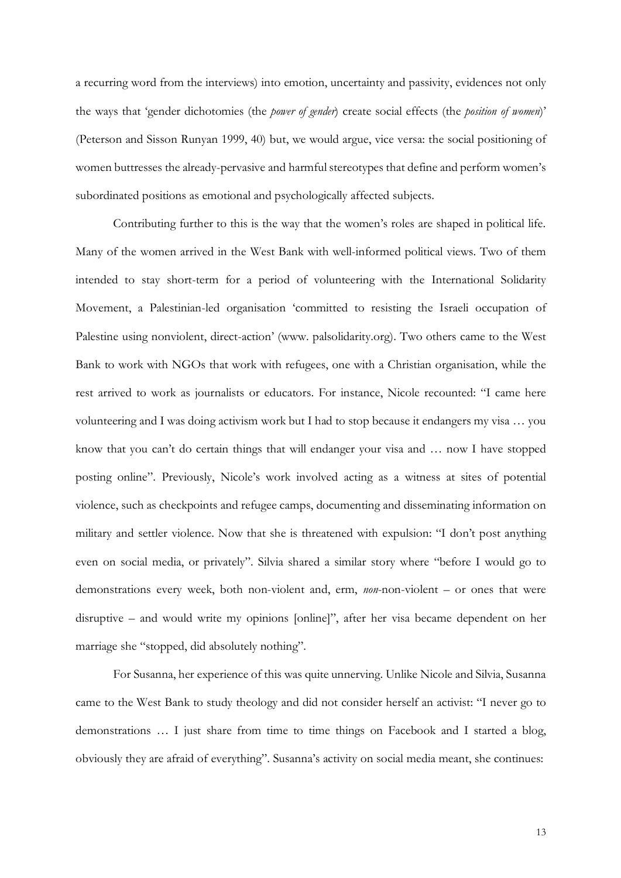a recurring word from the interviews) into emotion, uncertainty and passivity, evidences not only the ways that 'gender dichotomies (the *power of gender*) create social effects (the *position of women*)' (Peterson and Sisson Runyan 1999, 40) but, we would argue, vice versa: the social positioning of women buttresses the already-pervasive and harmful stereotypes that define and perform women's subordinated positions as emotional and psychologically affected subjects.

Contributing further to this is the way that the women's roles are shaped in political life. Many of the women arrived in the West Bank with well-informed political views. Two of them intended to stay short-term for a period of volunteering with the International Solidarity Movement, a Palestinian-led organisation 'committed to resisting the Israeli occupation of Palestine using nonviolent, direct-action' (www. palsolidarity.org). Two others came to the West Bank to work with NGOs that work with refugees, one with a Christian organisation, while the rest arrived to work as journalists or educators. For instance, Nicole recounted: "I came here volunteering and I was doing activism work but I had to stop because it endangers my visa … you know that you can't do certain things that will endanger your visa and … now I have stopped posting online". Previously, Nicole's work involved acting as a witness at sites of potential violence, such as checkpoints and refugee camps, documenting and disseminating information on military and settler violence. Now that she is threatened with expulsion: "I don't post anything even on social media, or privately". Silvia shared a similar story where "before I would go to demonstrations every week, both non-violent and, erm, *non*-non-violent – or ones that were disruptive – and would write my opinions [online]", after her visa became dependent on her marriage she "stopped, did absolutely nothing".

For Susanna, her experience of this was quite unnerving. Unlike Nicole and Silvia, Susanna came to the West Bank to study theology and did not consider herself an activist: "I never go to demonstrations … I just share from time to time things on Facebook and I started a blog, obviously they are afraid of everything". Susanna's activity on social media meant, she continues: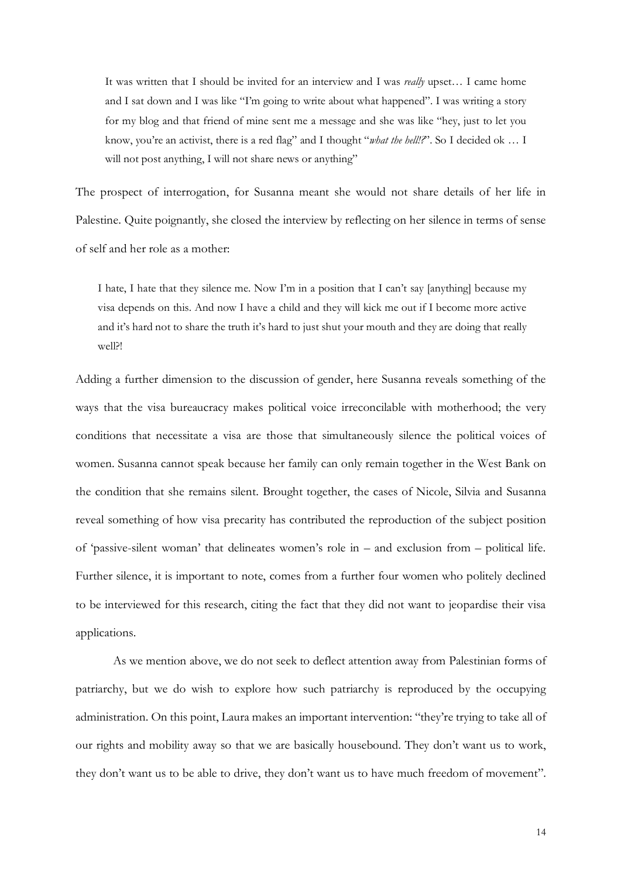It was written that I should be invited for an interview and I was *really* upset… I came home and I sat down and I was like "I'm going to write about what happened". I was writing a story for my blog and that friend of mine sent me a message and she was like "hey, just to let you know, you're an activist, there is a red flag" and I thought "*what the hell!?*". So I decided ok … I will not post anything, I will not share news or anything"

The prospect of interrogation, for Susanna meant she would not share details of her life in Palestine. Quite poignantly, she closed the interview by reflecting on her silence in terms of sense of self and her role as a mother:

I hate, I hate that they silence me. Now I'm in a position that I can't say [anything] because my visa depends on this. And now I have a child and they will kick me out if I become more active and it's hard not to share the truth it's hard to just shut your mouth and they are doing that really well?!

Adding a further dimension to the discussion of gender, here Susanna reveals something of the ways that the visa bureaucracy makes political voice irreconcilable with motherhood; the very conditions that necessitate a visa are those that simultaneously silence the political voices of women. Susanna cannot speak because her family can only remain together in the West Bank on the condition that she remains silent. Brought together, the cases of Nicole, Silvia and Susanna reveal something of how visa precarity has contributed the reproduction of the subject position of 'passive-silent woman' that delineates women's role in – and exclusion from – political life. Further silence, it is important to note, comes from a further four women who politely declined to be interviewed for this research, citing the fact that they did not want to jeopardise their visa applications.

As we mention above, we do not seek to deflect attention away from Palestinian forms of patriarchy, but we do wish to explore how such patriarchy is reproduced by the occupying administration. On this point, Laura makes an important intervention: "they're trying to take all of our rights and mobility away so that we are basically housebound. They don't want us to work, they don't want us to be able to drive, they don't want us to have much freedom of movement".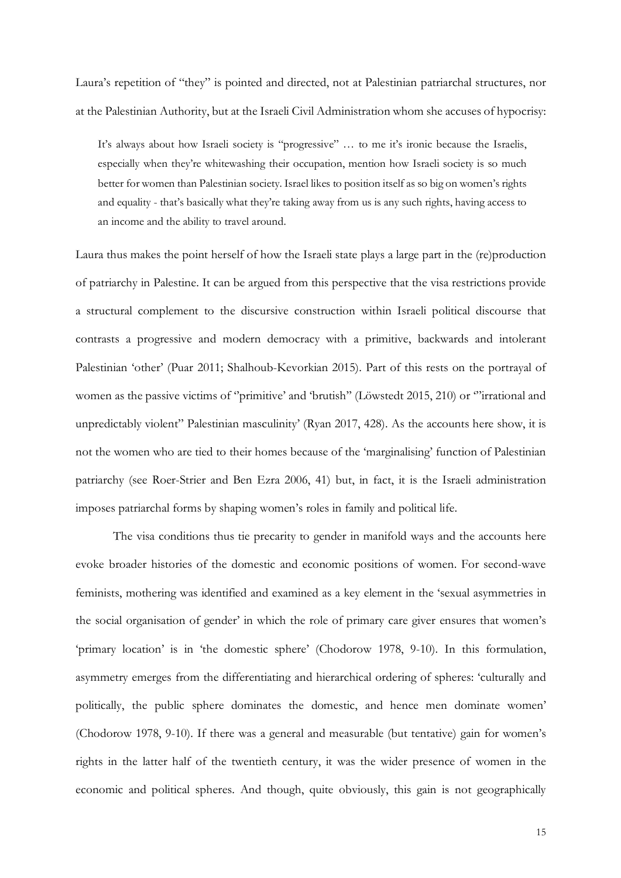Laura's repetition of "they" is pointed and directed, not at Palestinian patriarchal structures, nor at the Palestinian Authority, but at the Israeli Civil Administration whom she accuses of hypocrisy:

It's always about how Israeli society is "progressive" … to me it's ironic because the Israelis, especially when they're whitewashing their occupation, mention how Israeli society is so much better for women than Palestinian society. Israel likes to position itself as so big on women's rights and equality - that's basically what they're taking away from us is any such rights, having access to an income and the ability to travel around.

Laura thus makes the point herself of how the Israeli state plays a large part in the (re)production of patriarchy in Palestine. It can be argued from this perspective that the visa restrictions provide a structural complement to the discursive construction within Israeli political discourse that contrasts a progressive and modern democracy with a primitive, backwards and intolerant Palestinian 'other' (Puar 2011; Shalhoub-Kevorkian 2015). Part of this rests on the portrayal of women as the passive victims of "primitive' and 'brutish" (Löwstedt 2015, 210) or ""irrational and unpredictably violent" Palestinian masculinity' (Ryan 2017, 428). As the accounts here show, it is not the women who are tied to their homes because of the 'marginalising' function of Palestinian patriarchy (see Roer-Strier and Ben Ezra 2006, 41) but, in fact, it is the Israeli administration imposes patriarchal forms by shaping women's roles in family and political life.

The visa conditions thus tie precarity to gender in manifold ways and the accounts here evoke broader histories of the domestic and economic positions of women. For second-wave feminists, mothering was identified and examined as a key element in the 'sexual asymmetries in the social organisation of gender' in which the role of primary care giver ensures that women's 'primary location' is in 'the domestic sphere' (Chodorow 1978, 9-10). In this formulation, asymmetry emerges from the differentiating and hierarchical ordering of spheres: 'culturally and politically, the public sphere dominates the domestic, and hence men dominate women' (Chodorow 1978, 9-10). If there was a general and measurable (but tentative) gain for women's rights in the latter half of the twentieth century, it was the wider presence of women in the economic and political spheres. And though, quite obviously, this gain is not geographically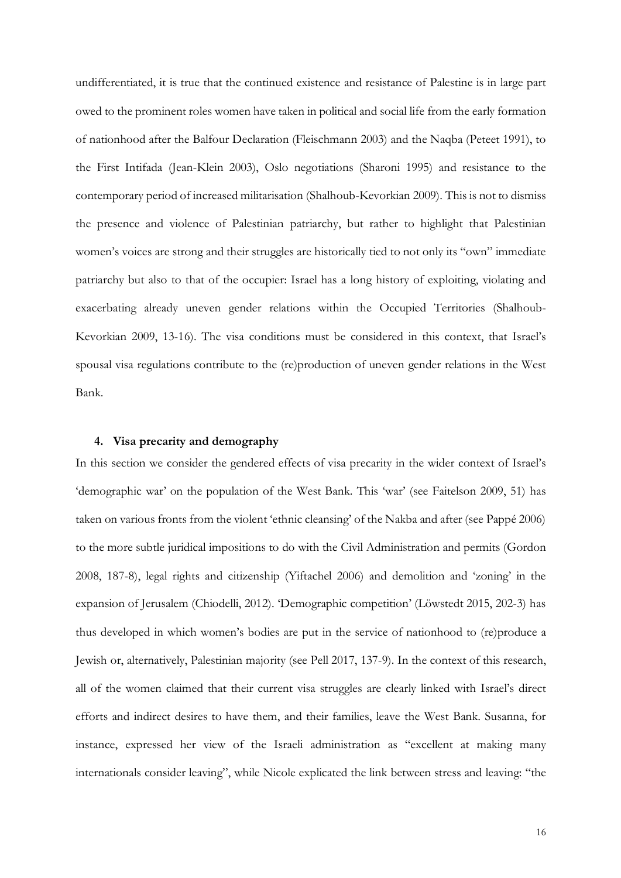undifferentiated, it is true that the continued existence and resistance of Palestine is in large part owed to the prominent roles women have taken in political and social life from the early formation of nationhood after the Balfour Declaration (Fleischmann 2003) and the Naqba (Peteet 1991), to the First Intifada (Jean-Klein 2003), Oslo negotiations (Sharoni 1995) and resistance to the contemporary period of increased militarisation (Shalhoub-Kevorkian 2009). This is not to dismiss the presence and violence of Palestinian patriarchy, but rather to highlight that Palestinian women's voices are strong and their struggles are historically tied to not only its "own" immediate patriarchy but also to that of the occupier: Israel has a long history of exploiting, violating and exacerbating already uneven gender relations within the Occupied Territories (Shalhoub-Kevorkian 2009, 13-16). The visa conditions must be considered in this context, that Israel's spousal visa regulations contribute to the (re)production of uneven gender relations in the West Bank.

## **4. Visa precarity and demography**

In this section we consider the gendered effects of visa precarity in the wider context of Israel's 'demographic war' on the population of the West Bank. This 'war' (see Faitelson 2009, 51) has taken on various fronts from the violent 'ethnic cleansing' of the Nakba and after (see Pappé 2006) to the more subtle juridical impositions to do with the Civil Administration and permits (Gordon 2008, 187-8), legal rights and citizenship (Yiftachel 2006) and demolition and 'zoning' in the expansion of Jerusalem (Chiodelli, 2012). 'Demographic competition' (Löwstedt 2015, 202-3) has thus developed in which women's bodies are put in the service of nationhood to (re)produce a Jewish or, alternatively, Palestinian majority (see Pell 2017, 137-9). In the context of this research, all of the women claimed that their current visa struggles are clearly linked with Israel's direct efforts and indirect desires to have them, and their families, leave the West Bank. Susanna, for instance, expressed her view of the Israeli administration as "excellent at making many internationals consider leaving", while Nicole explicated the link between stress and leaving: "the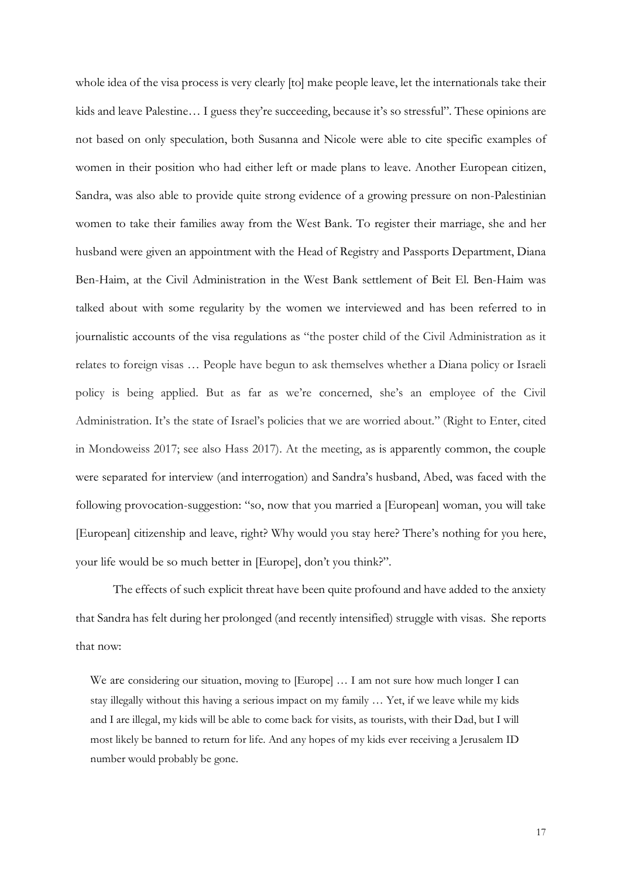whole idea of the visa process is very clearly [to] make people leave, let the internationals take their kids and leave Palestine... I guess they're succeeding, because it's so stressful". These opinions are not based on only speculation, both Susanna and Nicole were able to cite specific examples of women in their position who had either left or made plans to leave. Another European citizen, Sandra, was also able to provide quite strong evidence of a growing pressure on non-Palestinian women to take their families away from the West Bank. To register their marriage, she and her husband were given an appointment with the Head of Registry and Passports Department, Diana Ben-Haim, at the Civil Administration in the West Bank settlement of Beit El. Ben-Haim was talked about with some regularity by the women we interviewed and has been referred to in journalistic accounts of the visa regulations as "the poster child of the Civil Administration as it relates to foreign visas … People have begun to ask themselves whether a Diana policy or Israeli policy is being applied. But as far as we're concerned, she's an employee of the Civil Administration. It's the state of Israel's policies that we are worried about." (Right to Enter, cited in Mondoweiss 2017; see also Hass 2017). At the meeting, as is apparently common, the couple were separated for interview (and interrogation) and Sandra's husband, Abed, was faced with the following provocation-suggestion: "so, now that you married a [European] woman, you will take [European] citizenship and leave, right? Why would you stay here? There's nothing for you here, your life would be so much better in [Europe], don't you think?".

The effects of such explicit threat have been quite profound and have added to the anxiety that Sandra has felt during her prolonged (and recently intensified) struggle with visas. She reports that now:

We are considering our situation, moving to [Europe] … I am not sure how much longer I can stay illegally without this having a serious impact on my family … Yet, if we leave while my kids and I are illegal, my kids will be able to come back for visits, as tourists, with their Dad, but I will most likely be banned to return for life. And any hopes of my kids ever receiving a Jerusalem ID number would probably be gone.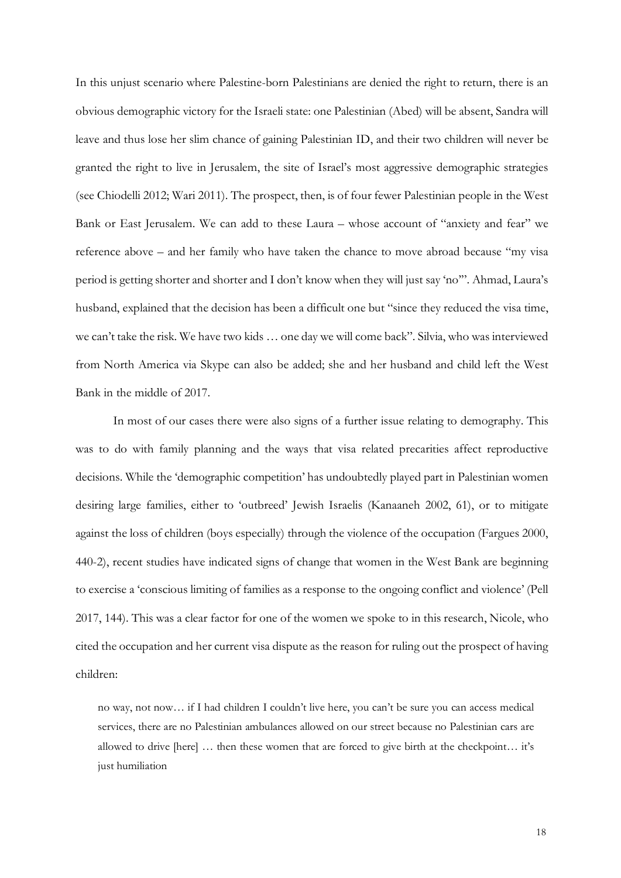In this unjust scenario where Palestine-born Palestinians are denied the right to return, there is an obvious demographic victory for the Israeli state: one Palestinian (Abed) will be absent, Sandra will leave and thus lose her slim chance of gaining Palestinian ID, and their two children will never be granted the right to live in Jerusalem, the site of Israel's most aggressive demographic strategies (see Chiodelli 2012; Wari 2011). The prospect, then, is of four fewer Palestinian people in the West Bank or East Jerusalem. We can add to these Laura – whose account of "anxiety and fear" we reference above – and her family who have taken the chance to move abroad because "my visa period is getting shorter and shorter and I don't know when they will just say 'no'". Ahmad, Laura's husband, explained that the decision has been a difficult one but "since they reduced the visa time, we can't take the risk. We have two kids … one day we will come back". Silvia, who was interviewed from North America via Skype can also be added; she and her husband and child left the West Bank in the middle of 2017.

In most of our cases there were also signs of a further issue relating to demography. This was to do with family planning and the ways that visa related precarities affect reproductive decisions. While the 'demographic competition' has undoubtedly played part in Palestinian women desiring large families, either to 'outbreed' Jewish Israelis (Kanaaneh 2002, 61), or to mitigate against the loss of children (boys especially) through the violence of the occupation (Fargues 2000, 440-2), recent studies have indicated signs of change that women in the West Bank are beginning to exercise a 'conscious limiting of families as a response to the ongoing conflict and violence' (Pell 2017, 144). This was a clear factor for one of the women we spoke to in this research, Nicole, who cited the occupation and her current visa dispute as the reason for ruling out the prospect of having children:

no way, not now… if I had children I couldn't live here, you can't be sure you can access medical services, there are no Palestinian ambulances allowed on our street because no Palestinian cars are allowed to drive [here] … then these women that are forced to give birth at the checkpoint… it's just humiliation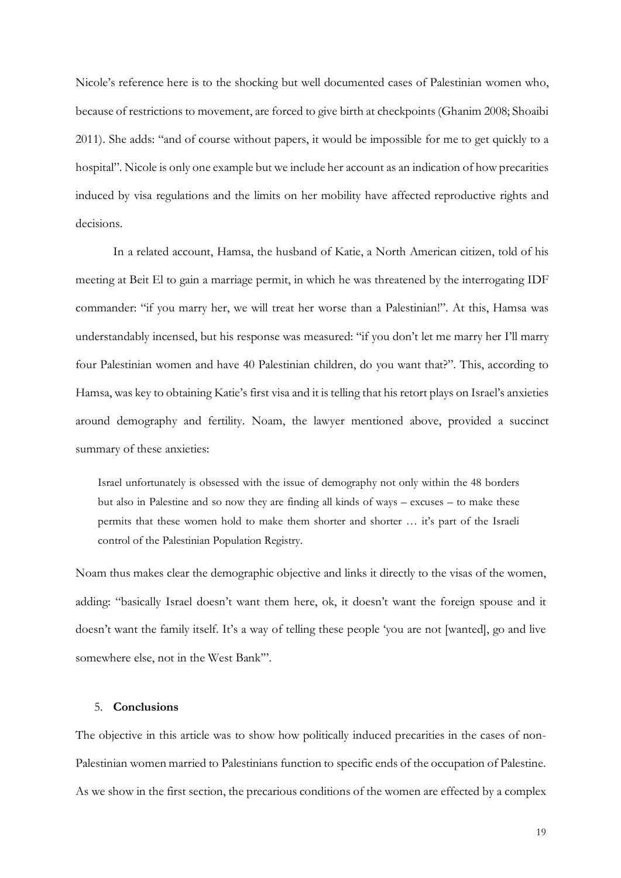Nicole's reference here is to the shocking but well documented cases of Palestinian women who, because of restrictions to movement, are forced to give birth at checkpoints (Ghanim 2008; Shoaibi 2011). She adds: "and of course without papers, it would be impossible for me to get quickly to a hospital". Nicole is only one example but we include her account as an indication of how precarities induced by visa regulations and the limits on her mobility have affected reproductive rights and decisions.

In a related account, Hamsa, the husband of Katie, a North American citizen, told of his meeting at Beit El to gain a marriage permit, in which he was threatened by the interrogating IDF commander: "if you marry her, we will treat her worse than a Palestinian!". At this, Hamsa was understandably incensed, but his response was measured: "if you don't let me marry her I'll marry four Palestinian women and have 40 Palestinian children, do you want that?". This, according to Hamsa, was key to obtaining Katie's first visa and it is telling that his retort plays on Israel's anxieties around demography and fertility. Noam, the lawyer mentioned above, provided a succinct summary of these anxieties:

Israel unfortunately is obsessed with the issue of demography not only within the 48 borders but also in Palestine and so now they are finding all kinds of ways – excuses – to make these permits that these women hold to make them shorter and shorter … it's part of the Israeli control of the Palestinian Population Registry.

Noam thus makes clear the demographic objective and links it directly to the visas of the women, adding: "basically Israel doesn't want them here, ok, it doesn't want the foreign spouse and it doesn't want the family itself. It's a way of telling these people 'you are not [wanted], go and live somewhere else, not in the West Bank'".

### 5. **Conclusions**

The objective in this article was to show how politically induced precarities in the cases of non-Palestinian women married to Palestinians function to specific ends of the occupation of Palestine. As we show in the first section, the precarious conditions of the women are effected by a complex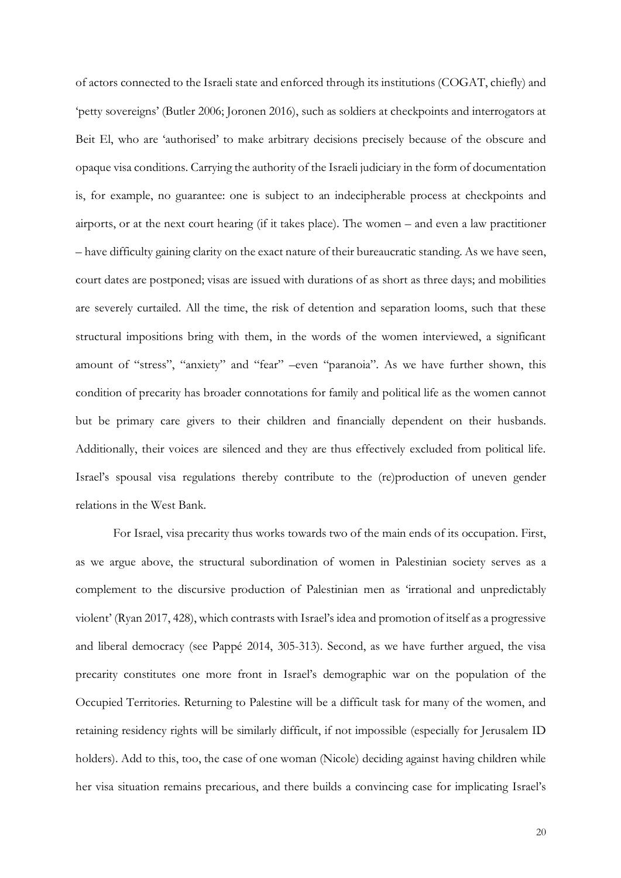of actors connected to the Israeli state and enforced through its institutions (COGAT, chiefly) and 'petty sovereigns' (Butler 2006; Joronen 2016), such as soldiers at checkpoints and interrogators at Beit El, who are 'authorised' to make arbitrary decisions precisely because of the obscure and opaque visa conditions. Carrying the authority of the Israeli judiciary in the form of documentation is, for example, no guarantee: one is subject to an indecipherable process at checkpoints and airports, or at the next court hearing (if it takes place). The women – and even a law practitioner – have difficulty gaining clarity on the exact nature of their bureaucratic standing. As we have seen, court dates are postponed; visas are issued with durations of as short as three days; and mobilities are severely curtailed. All the time, the risk of detention and separation looms, such that these structural impositions bring with them, in the words of the women interviewed, a significant amount of "stress", "anxiety" and "fear" –even "paranoia". As we have further shown, this condition of precarity has broader connotations for family and political life as the women cannot but be primary care givers to their children and financially dependent on their husbands. Additionally, their voices are silenced and they are thus effectively excluded from political life. Israel's spousal visa regulations thereby contribute to the (re)production of uneven gender relations in the West Bank.

For Israel, visa precarity thus works towards two of the main ends of its occupation. First, as we argue above, the structural subordination of women in Palestinian society serves as a complement to the discursive production of Palestinian men as 'irrational and unpredictably violent' (Ryan 2017, 428), which contrasts with Israel's idea and promotion of itself as a progressive and liberal democracy (see Pappé 2014, 305-313). Second, as we have further argued, the visa precarity constitutes one more front in Israel's demographic war on the population of the Occupied Territories. Returning to Palestine will be a difficult task for many of the women, and retaining residency rights will be similarly difficult, if not impossible (especially for Jerusalem ID holders). Add to this, too, the case of one woman (Nicole) deciding against having children while her visa situation remains precarious, and there builds a convincing case for implicating Israel's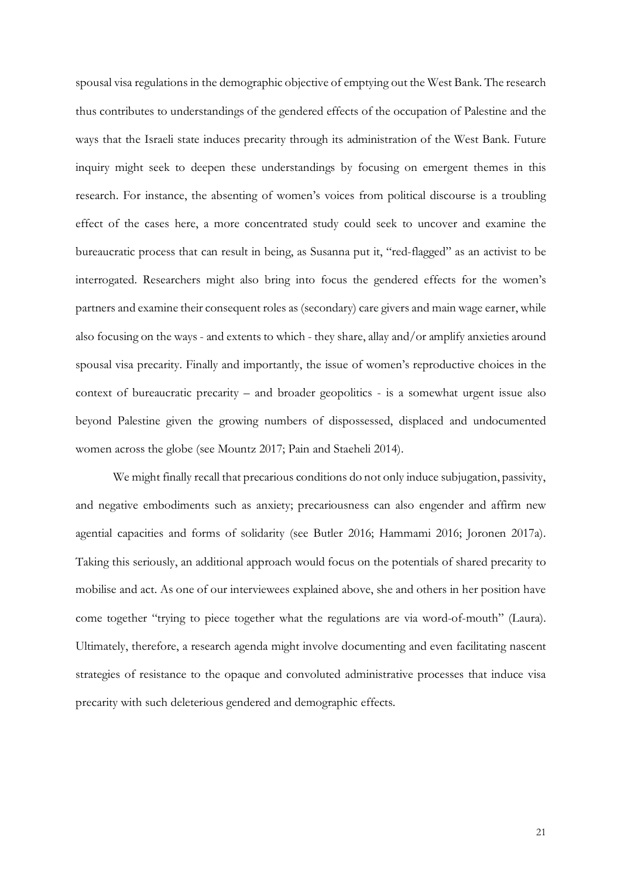spousal visa regulations in the demographic objective of emptying out the West Bank. The research thus contributes to understandings of the gendered effects of the occupation of Palestine and the ways that the Israeli state induces precarity through its administration of the West Bank. Future inquiry might seek to deepen these understandings by focusing on emergent themes in this research. For instance, the absenting of women's voices from political discourse is a troubling effect of the cases here, a more concentrated study could seek to uncover and examine the bureaucratic process that can result in being, as Susanna put it, "red-flagged" as an activist to be interrogated. Researchers might also bring into focus the gendered effects for the women's partners and examine their consequent roles as (secondary) care givers and main wage earner, while also focusing on the ways - and extents to which - they share, allay and/or amplify anxieties around spousal visa precarity. Finally and importantly, the issue of women's reproductive choices in the context of bureaucratic precarity – and broader geopolitics - is a somewhat urgent issue also beyond Palestine given the growing numbers of dispossessed, displaced and undocumented women across the globe (see Mountz 2017; Pain and Staeheli 2014).

We might finally recall that precarious conditions do not only induce subjugation, passivity, and negative embodiments such as anxiety; precariousness can also engender and affirm new agential capacities and forms of solidarity (see Butler 2016; Hammami 2016; Joronen 2017a). Taking this seriously, an additional approach would focus on the potentials of shared precarity to mobilise and act. As one of our interviewees explained above, she and others in her position have come together "trying to piece together what the regulations are via word-of-mouth" (Laura). Ultimately, therefore, a research agenda might involve documenting and even facilitating nascent strategies of resistance to the opaque and convoluted administrative processes that induce visa precarity with such deleterious gendered and demographic effects.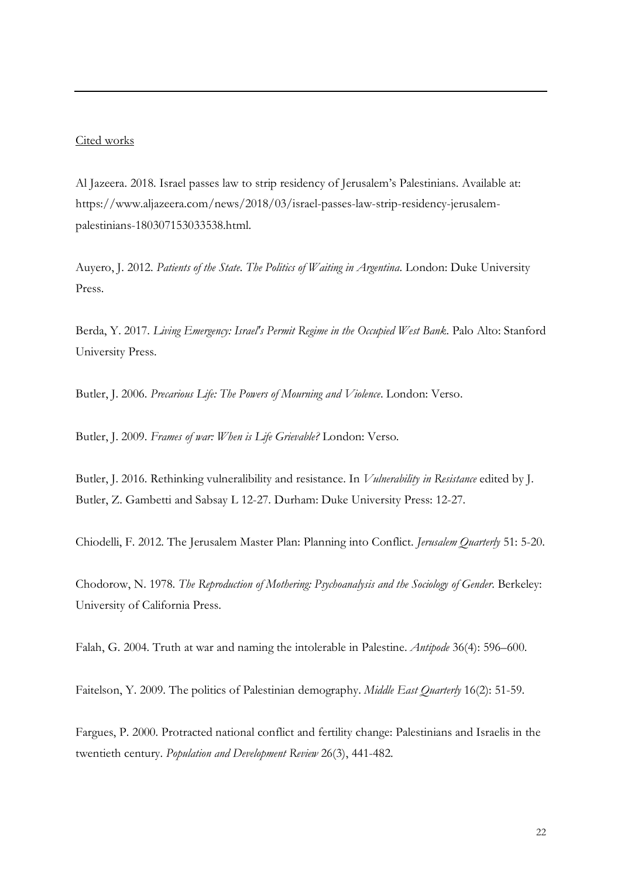#### Cited works

Al Jazeera. 2018. Israel passes law to strip residency of Jerusalem's Palestinians. Available at: https://www.aljazeera.com/news/2018/03/israel-passes-law-strip-residency-jerusalempalestinians-180307153033538.html.

Auyero, J. 2012. *Patients of the State. The Politics of Waiting in Argentina*. London: Duke University Press.

Berda, Y. 2017. *Living Emergency: Israel's Permit Regime in the Occupied West Bank*. Palo Alto: Stanford University Press.

Butler, J. 2006. *Precarious Life: The Powers of Mourning and Violence*. London: Verso.

Butler, J. 2009. *Frames of war: When is Life Grievable?* London: Verso.

Butler, J. 2016. Rethinking vulneralibility and resistance. In *Vulnerability in Resistance* edited by J. Butler, Z. Gambetti and Sabsay L 12-27. Durham: Duke University Press: 12-27.

Chiodelli, F. 2012. The Jerusalem Master Plan: Planning into Conflict. *Jerusalem Quarterly* 51: 5-20.

Chodorow, N. 1978. *The Reproduction of Mothering: Psychoanalysis and the Sociology of Gender*. Berkeley: University of California Press.

Falah, G. 2004. Truth at war and naming the intolerable in Palestine. *Antipode* 36(4): 596–600.

Faitelson, Y. 2009. The politics of Palestinian demography. *Middle East Quarterly* 16(2): 51-59.

Fargues, P. 2000. Protracted national conflict and fertility change: Palestinians and Israelis in the twentieth century. *Population and Development Review* 26(3), 441-482.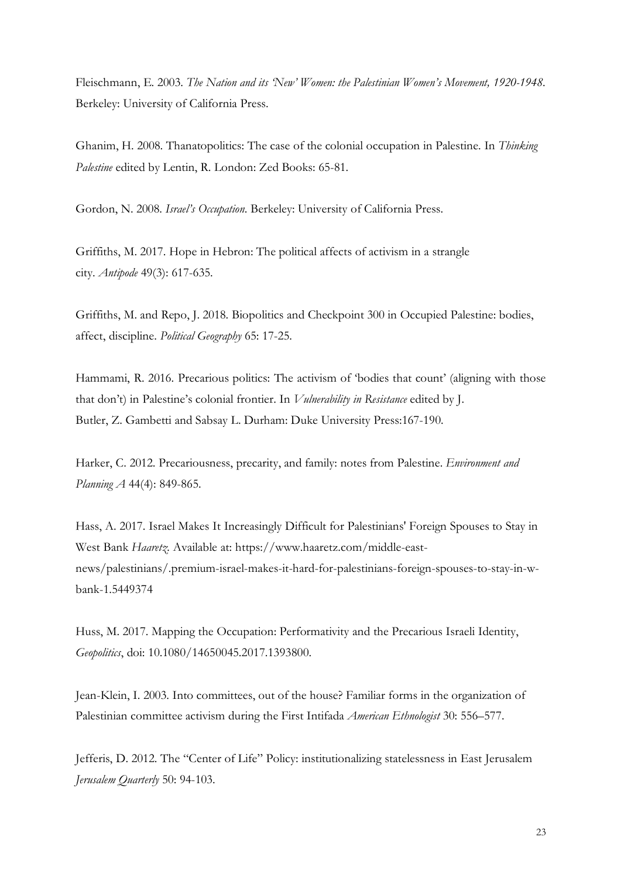Fleischmann, E. 2003. *The Nation and its 'New' Women: the Palestinian Women's Movement, 1920-1948*. Berkeley: University of California Press.

Ghanim, H. 2008. Thanatopolitics: The case of the colonial occupation in Palestine. In *Thinking Palestine* edited by Lentin, R. London: Zed Books: 65-81.

Gordon, N. 2008. *Israel's Occupation*. Berkeley: University of California Press.

Griffiths, M. 2017. Hope in Hebron: The political affects of activism in a strangle city. *Antipode* 49(3): 617-635.

Griffiths, M. and Repo, J. 2018. Biopolitics and Checkpoint 300 in Occupied Palestine: bodies, affect, discipline. *Political Geography* 65: 17-25.

Hammami, R. 2016. Precarious politics: The activism of 'bodies that count' (aligning with those that don't) in Palestine's colonial frontier. In *Vulnerability in Resistance* edited by J. Butler, Z. Gambetti and Sabsay L. Durham: Duke University Press:167-190.

Harker, C. 2012. Precariousness, precarity, and family: notes from Palestine. *Environment and Planning A* 44(4): 849-865.

Hass, A. 2017. Israel Makes It Increasingly Difficult for Palestinians' Foreign Spouses to Stay in West Bank *Haaretz.* Available at: https://www.haaretz.com/middle-eastnews/palestinians/.premium-israel-makes-it-hard-for-palestinians-foreign-spouses-to-stay-in-wbank-1.5449374

Huss, M. 2017. Mapping the Occupation: Performativity and the Precarious Israeli Identity, *Geopolitics*, doi: 10.1080/14650045.2017.1393800.

Jean-Klein, I. 2003. Into committees, out of the house? Familiar forms in the organization of Palestinian committee activism during the First Intifada *American Ethnologist* 30: 556–577.

Jefferis, D. 2012. The "Center of Life" Policy: institutionalizing statelessness in East Jerusalem *Jerusalem Quarterly* 50: 94-103.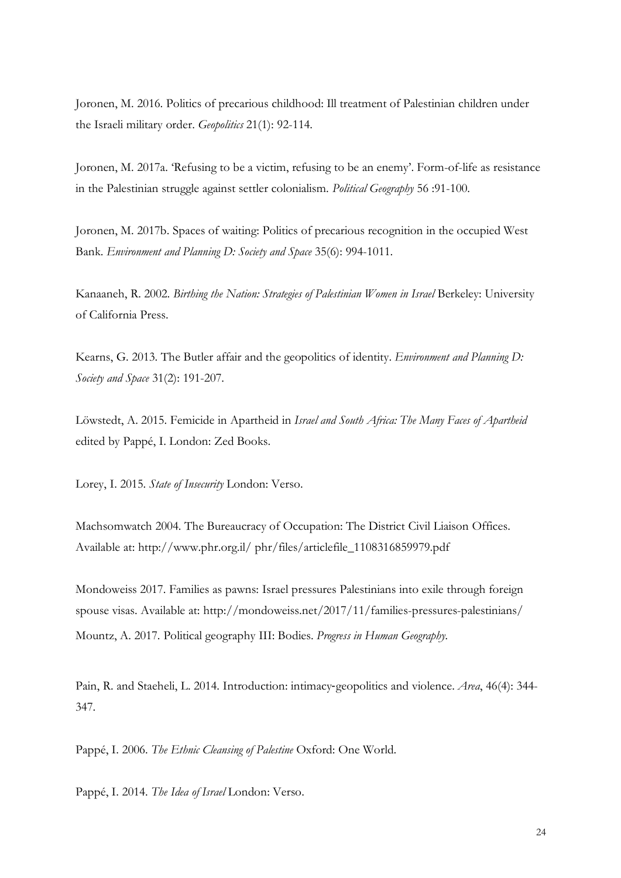Joronen, M. 2016. Politics of precarious childhood: Ill treatment of Palestinian children under the Israeli military order. *Geopolitics* 21(1): 92-114.

Joronen, M. 2017a. 'Refusing to be a victim, refusing to be an enemy'. Form-of-life as resistance in the Palestinian struggle against settler colonialism. *Political Geography* 56 :91-100.

Joronen, M. 2017b. Spaces of waiting: Politics of precarious recognition in the occupied West Bank. *Environment and Planning D: Society and Space* 35(6): 994-1011.

Kanaaneh, R. 2002. *Birthing the Nation: Strategies of Palestinian Women in Israel* Berkeley: University of California Press.

Kearns, G. 2013. The Butler affair and the geopolitics of identity. *Environment and Planning D: Society and Space* 31(2): 191-207.

Löwstedt, A. 2015. Femicide in Apartheid in *Israel and South Africa: The Many Faces of Apartheid*  edited by Pappé, I. London: Zed Books.

Lorey, I. 2015. *State of Insecurity* London: Verso.

Machsomwatch 2004. The Bureaucracy of Occupation: The District Civil Liaison Offices. Available at: http://www.phr.org.il/ phr/files/articlefile\_1108316859979.pdf

Mondoweiss 2017. Families as pawns: Israel pressures Palestinians into exile through foreign spouse visas. Available at: http://mondoweiss.net/2017/11/families-pressures-palestinians/ Mountz, A. 2017. Political geography III: Bodies. *Progress in Human Geography.*

Pain, R. and Staeheli, L. 2014. Introduction: intimacy-geopolitics and violence. *Area*, 46(4): 344- 347.

Pappé, I. 2006. *The Ethnic Cleansing of Palestine* Oxford: One World.

Pappé, I. 2014. *The Idea of Israel* London: Verso.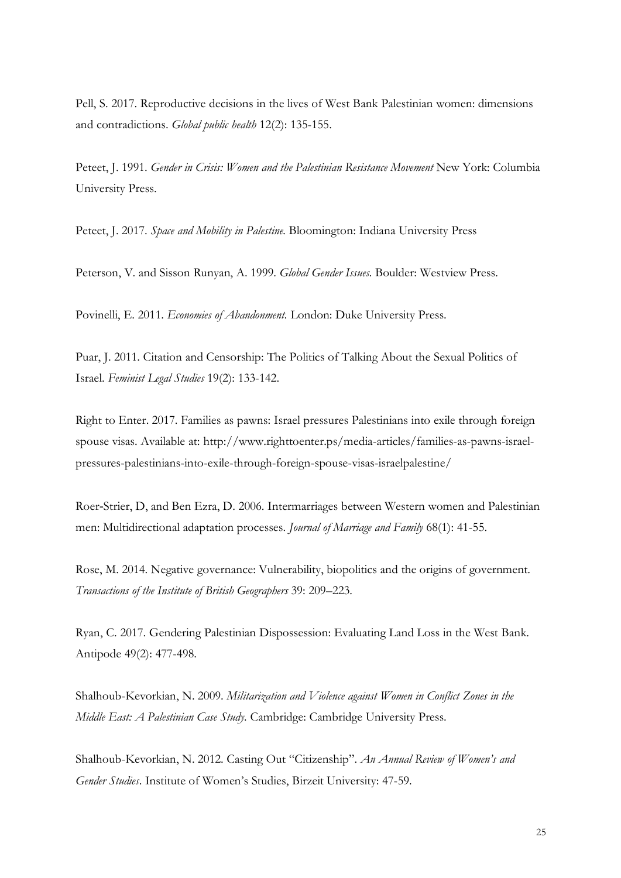Pell, S. 2017. Reproductive decisions in the lives of West Bank Palestinian women: dimensions and contradictions. *Global public health* 12(2): 135-155.

Peteet, J. 1991. *Gender in Crisis: Women and the Palestinian Resistance Movement* New York: Columbia University Press.

Peteet, J. 2017. *Space and Mobility in Palestine.* Bloomington: Indiana University Press

Peterson, V. and Sisson Runyan, A. 1999. *Global Gender Issues.* Boulder: Westview Press.

Povinelli, E. 2011. *Economies of Abandonment.* London: Duke University Press.

Puar, J. 2011. Citation and Censorship: The Politics of Talking About the Sexual Politics of Israel. *Feminist Legal Studies* 19(2): 133-142.

Right to Enter. 2017. Families as pawns: Israel pressures Palestinians into exile through foreign spouse visas. Available at: http://www.righttoenter.ps/media-articles/families-as-pawns-israelpressures-palestinians-into-exile-through-foreign-spouse-visas-israelpalestine/

Roer-Strier, D, and Ben Ezra, D. 2006. Intermarriages between Western women and Palestinian men: Multidirectional adaptation processes. *Journal of Marriage and Family* 68(1): 41-55.

Rose, M. 2014. Negative governance: Vulnerability, biopolitics and the origins of government. *Transactions of the Institute of British Geographers* 39: 209–223.

Ryan, C. 2017. Gendering Palestinian Dispossession: Evaluating Land Loss in the West Bank. Antipode 49(2): 477-498.

Shalhoub-Kevorkian, N. 2009. *Militarization and Violence against Women in Conflict Zones in the Middle East: A Palestinian Case Study.* Cambridge: Cambridge University Press.

Shalhoub-Kevorkian, N. 2012. Casting Out "Citizenship". *An Annual Review of Women's and Gender Studies*. Institute of Women's Studies, Birzeit University: 47-59.